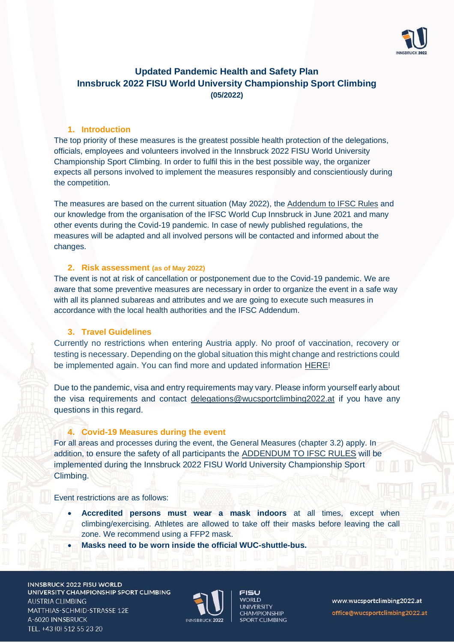

# **Updated Pandemic Health and Safety Plan Innsbruck 2022 FISU World University Championship Sport Climbing (05/2022)**

## **1. Introduction**

The top priority of these measures is the greatest possible health protection of the delegations, officials, employees and volunteers involved in the Innsbruck 2022 FISU World University Championship Sport Climbing. In order to fulfil this in the best possible way, the organizer expects all persons involved to implement the measures responsibly and conscientiously during the competition.

The measures are based on the current situation (May 2022), the Addendum [to IFSC Rules](https://cdn.ifsc-climbing.org/images/Website/220126_Addendum_COVID-19_v19.pdf) and our knowledge from the organisation of the IFSC World Cup Innsbruck in June 2021 and many other events during the Covid-19 pandemic. In case of newly published regulations, the measures will be adapted and all involved persons will be contacted and informed about the changes.

#### **2. Risk assessment (as of May 2022)**

The event is not at risk of cancellation or postponement due to the Covid-19 pandemic. We are aware that some preventive measures are necessary in order to organize the event in a safe way with all its planned subareas and attributes and we are going to execute such measures in accordance with the local health authorities and the IFSC Addendum.

## **3. Travel Guidelines**

Currently no restrictions when entering Austria apply. No proof of vaccination, recovery or testing is necessary. Depending on the global situation this might change and restrictions could be implemented again. You can find more and updated information [HERE!](https://www.oesterreich.gv.at/en/themen/coronavirus_in_oesterreich/pre-travel-clearance.html)

Due to the pandemic, visa and entry requirements may vary. Please inform yourself early about the visa requirements and contact [delegations@wucsportclimbing2022.at](mailto:delegations@wucsportclimbing2022.at) if you have any questions in this regard.

## **4. Covid-19 Measures during the event**

For all areas and processes during the event, the General Measures (chapter 3.2) apply. In addition, to ensure the safety of all participants the [ADDENDUM TO IFSC RULES](https://cdn.ifsc-climbing.org/images/Website/220126_Addendum_COVID-19_v19.pdf) will be implemented during the Innsbruck 2022 FISU World University Championship Sport Climbing.

## Event restrictions are as follows:

- **Accredited persons must wear a mask indoors** at all times, except when climbing/exercising. Athletes are allowed to take off their masks before leaving the call zone. We recommend using a FFP2 mask.
- **Masks need to be worn inside the official WUC-shuttle-bus.**

**INNSBRUCK 2022 FISU WORLD** UNIVERSITY CHAMPIONSHIP SPORT CLIMBING **AUSTRIA CLIMBING** MATTHIAS-SCHMID-STRASSE 12E A-6020 INNSBRUCK TEL. +43 (0) 512 55 23 20



FISU WORI D **UNIVERSITY CHAMPIONSHIP SPORT CLIMBING**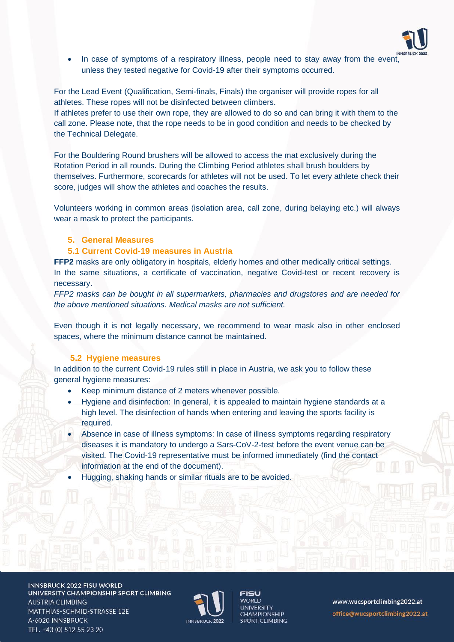

• In case of symptoms of a respiratory illness, people need to stay away from the event, unless they tested negative for Covid-19 after their symptoms occurred.

For the Lead Event (Qualification, Semi-finals, Finals) the organiser will provide ropes for all athletes. These ropes will not be disinfected between climbers.

If athletes prefer to use their own rope, they are allowed to do so and can bring it with them to the call zone. Please note, that the rope needs to be in good condition and needs to be checked by the Technical Delegate.

For the Bouldering Round brushers will be allowed to access the mat exclusively during the Rotation Period in all rounds. During the Climbing Period athletes shall brush boulders by themselves. Furthermore, scorecards for athletes will not be used. To let every athlete check their score, judges will show the athletes and coaches the results.

Volunteers working in common areas (isolation area, call zone, during belaying etc.) will always wear a mask to protect the participants.

## **5. General Measures**

## **5.1 Current Covid-19 measures in Austria**

**FFP2** masks are only obligatory in hospitals, elderly homes and other medically critical settings. In the same situations, a certificate of vaccination, negative Covid-test or recent recovery is necessary.

*FFP2 masks can be bought in all supermarkets, pharmacies and drugstores and are needed for the above mentioned situations. Medical masks are not sufficient.* 

Even though it is not legally necessary, we recommend to wear mask also in other enclosed spaces, where the minimum distance cannot be maintained.

## **5.2 Hygiene measures**

In addition to the current Covid-19 rules still in place in Austria, we ask you to follow these general hygiene measures:

- Keep minimum distance of 2 meters whenever possible.
- Hygiene and disinfection: In general, it is appealed to maintain hygiene standards at a high level. The disinfection of hands when entering and leaving the sports facility is required.
- Absence in case of illness symptoms: In case of illness symptoms regarding respiratory diseases it is mandatory to undergo a Sars-CoV-2-test before the event venue can be visited. The Covid-19 representative must be informed immediately (find the contact information at the end of the document).
- Hugging, shaking hands or similar rituals are to be avoided.

INNSBRUCK 2022 FISU WORLD UNIVERSITY CHAMPIONSHIP SPORT CLIMBING AUSTRIA CLIMBING MATTHIAS-SCHMID-STRASSE 12E A-6020 INNSBRUCK TEL. +43 (0) 512 55 23 20



FISU **MORLD UNIVERSITY CHAMPIONSHIP SPORT CLIMBING**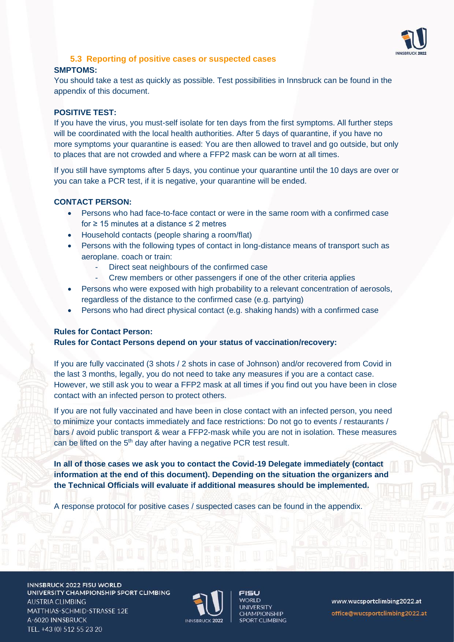

# **5.3 Reporting of positive cases or suspected cases**

#### **SMPTOMS:**

You should take a test as quickly as possible. Test possibilities in Innsbruck can be found in the appendix of this document.

## **POSITIVE TEST:**

If you have the virus, you must-self isolate for ten days from the first symptoms. All further steps will be coordinated with the local health authorities. After 5 days of quarantine, if you have no more symptoms your quarantine is eased: You are then allowed to travel and go outside, but only to places that are not crowded and where a FFP2 mask can be worn at all times.

If you still have symptoms after 5 days, you continue your quarantine until the 10 days are over or you can take a PCR test, if it is negative, your quarantine will be ended.

#### **CONTACT PERSON:**

- Persons who had face-to-face contact or were in the same room with a confirmed case for ≥ 15 minutes at a distance ≤ 2 metres
- Household contacts (people sharing a room/flat)
- Persons with the following types of contact in long-distance means of transport such as aeroplane. coach or train:
	- Direct seat neighbours of the confirmed case
	- Crew members or other passengers if one of the other criteria applies
- Persons who were exposed with high probability to a relevant concentration of aerosols, regardless of the distance to the confirmed case (e.g. partying)
- Persons who had direct physical contact (e.g. shaking hands) with a confirmed case

## **Rules for Contact Person:**

#### **Rules for Contact Persons depend on your status of vaccination/recovery:**

If you are fully vaccinated (3 shots / 2 shots in case of Johnson) and/or recovered from Covid in the last 3 months, legally, you do not need to take any measures if you are a contact case. However, we still ask you to wear a FFP2 mask at all times if you find out you have been in close contact with an infected person to protect others.

If you are not fully vaccinated and have been in close contact with an infected person, you need to minimize your contacts immediately and face restrictions: Do not go to events / restaurants / bars / avoid public transport & wear a FFP2-mask while you are not in isolation. These measures can be lifted on the 5<sup>th</sup> day after having a negative PCR test result.

**In all of those cases we ask you to contact the Covid-19 Delegate immediately (contact information at the end of this document). Depending on the situation the organizers and the Technical Officials will evaluate if additional measures should be implemented.**

A response protocol for positive cases / suspected cases can be found in the appendix.

**INNSBRUCK 2022 FISU WORLD** UNIVERSITY CHAMPIONSHIP SPORT CLIMBING **AUSTRIA CLIMBING** MATTHIAS-SCHMID-STRASSE 12E A-6020 INNSBRUCK TEL. +43 (0) 512 55 23 20



**FISU WORLD UNIVERSITY CHAMPIONSHIP SPORT CLIMBING**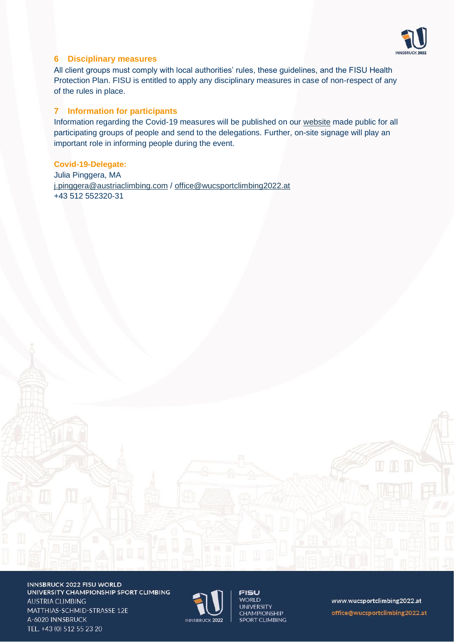

## **6 Disciplinary measures**

All client groups must comply with local authorities' rules, these guidelines, and the FISU Health Protection Plan. FISU is entitled to apply any disciplinary measures in case of non-respect of any of the rules in place.

## **7 Information for participants**

Information regarding the Covid-19 measures will be published on our [website](https://www.wucsportclimbing2022.at/) made public for all participating groups of people and send to the delegations. Further, on-site signage will play an important role in informing people during the event.

**Covid-19-Delegate:** Julia Pinggera, MA [j.pinggera@austriaclimbing.com](mailto:j.pinggera@austriaclimbing.com) / [office@wucsportclimbing2022.at](mailto:office@wucsportclimbing2022.at) +43 512 552320-31

INNSBRUCK 2022 FISU WORLD UNIVERSITY CHAMPIONSHIP SPORT CLIMBING **AUSTRIA CLIMBING** MATTHIAS-SCHMID-STRASSE 12E A-6020 INNSBRUCK TEL. +43 (0) 512 55 23 20



**FISU WORLD UNIVERSITY CHAMPIONSHIP** SPORT CLIMBING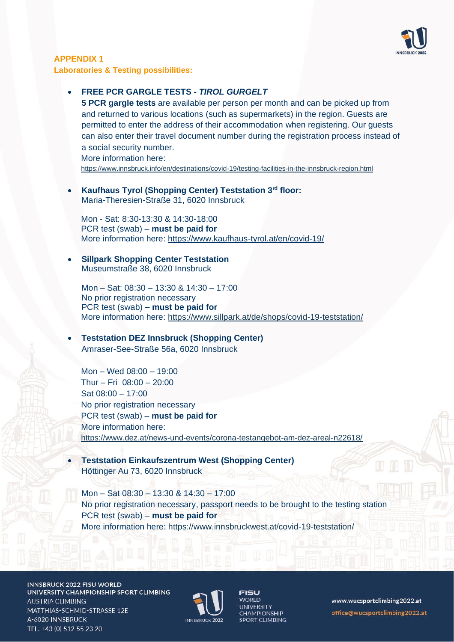

## **APPENDIX 1 Laboratories & Testing possibilities:**

## • **FREE PCR GARGLE TESTS -** *TIROL GURGELT*

**5 PCR gargle tests** are available per person per month and can be picked up from and returned to various locations (such as supermarkets) in the region. Guests are permitted to enter the address of their accommodation when registering. Our guests can also enter their travel document number during the registration process instead of a social security number. More information here:

<https://www.innsbruck.info/en/destinations/covid-19/testing-facilities-in-the-innsbruck-region.html>

• **Kaufhaus Tyrol (Shopping Center) Teststation 3 rd floor:** Maria-Theresien-Straße 31, 6020 Innsbruck

Mon - Sat: 8:30-13:30 & 14:30-18:00 PCR test (swab) – **must be paid for** More information here:<https://www.kaufhaus-tyrol.at/en/covid-19/>

#### • **Sillpark Shopping Center Teststation**  Museumstraße 38, 6020 Innsbruck

Mon – Sat: 08:30 – 13:30 & 14:30 – 17:00 No prior registration necessary PCR test (swab) **– must be paid for** More information here:<https://www.sillpark.at/de/shops/covid-19-teststation/>

• **Teststation DEZ Innsbruck (Shopping Center)** Amraser-See-Straße 56a, 6020 Innsbruck

Mon – Wed 08:00 – 19:00 Thur – Fri 08:00 – 20:00 Sat 08:00 – 17:00 No prior registration necessary PCR test (swab) – **must be paid for** More information here: <https://www.dez.at/news-und-events/corona-testangebot-am-dez-areal-n22618/>

• **Teststation Einkaufszentrum West (Shopping Center)** Höttinger Au 73, 6020 Innsbruck

Mon – Sat 08:30 – 13:30 & 14:30 – 17:00 No prior registration necessary, passport needs to be brought to the testing station PCR test (swab) – **must be paid for** More information here:<https://www.innsbruckwest.at/covid-19-teststation/>

INNSBRUCK 2022 FISU WORLD UNIVERSITY CHAMPIONSHIP SPORT CLIMBING **AUSTRIA CLIMBING** MATTHIAS-SCHMID-STRASSE 12E A-6020 INNSBRUCK TEL. +43 (0) 512 55 23 20



FISU **WORLD UNIVERSITY CHAMPIONSHIP** SPORT CLIMBING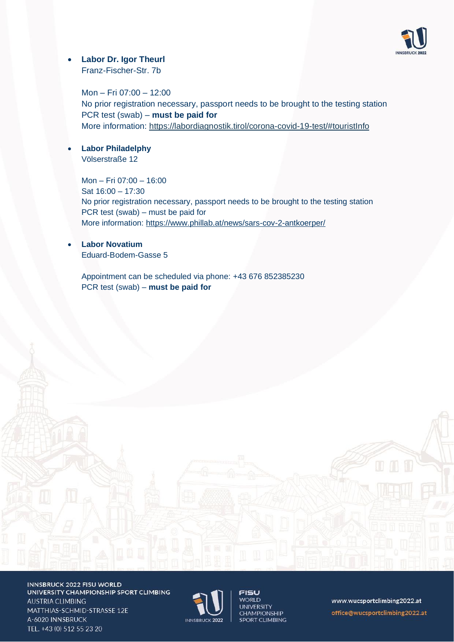

## • **Labor Dr. Igor Theurl**

Franz-Fischer-Str. 7b

Mon – Fri 07:00 – 12:00 No prior registration necessary, passport needs to be brought to the testing station PCR test (swab) – **must be paid for** More information:<https://labordiagnostik.tirol/corona-covid-19-test/#touristInfo>

• **Labor Philadelphy** Völserstraße 12

> Mon – Fri 07:00 – 16:00 Sat  $16:00 - 17:30$ No prior registration necessary, passport needs to be brought to the testing station PCR test (swab) – must be paid for More information:<https://www.phillab.at/news/sars-cov-2-antkoerper/>

• **Labor Novatium** Eduard-Bodem-Gasse 5

Appointment can be scheduled via phone: [+43 676 852385230](https://www.google.com/search?q=novatium+innsbruck&oq=novatium+inn&aqs=chrome.0.69i59j46i175i199i512j69i57j0i512l4j0i22i30.2025j1j4&sourceid=chrome&ie=UTF-8) PCR test (swab) – **must be paid for**



INNSBRUCK 2022 FISU WORLD UNIVERSITY CHAMPIONSHIP SPORT CLIMBING **AUSTRIA CLIMBING** MATTHIAS-SCHMID-STRASSE 12E A-6020 INNSBRUCK TEL. +43 (0) 512 55 23 20



**FISU WORLD UNIVERSITY CHAMPIONSHIP** SPORT CLIMBING